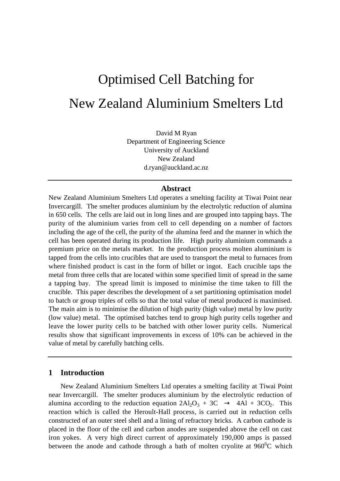# Optimised Cell Batching for New Zealand Aluminium Smelters Ltd

David M Ryan Department of Engineering Science University of Auckland New Zealand d.ryan@auckland.ac.nz

#### **Abstract**

New Zealand Aluminium Smelters Ltd operates a smelting facility at Tiwai Point near Invercargill. The smelter produces aluminium by the electrolytic reduction of alumina in 650 cells. The cells are laid out in long lines and are grouped into tapping bays. The purity of the aluminium varies from cell to cell depending on a number of factors including the age of the cell, the purity of the alumina feed and the manner in which the cell has been operated during its production life. High purity aluminium commands a premium price on the metals market. In the production process molten aluminium is tapped from the cells into crucibles that are used to transport the metal to furnaces from where finished product is cast in the form of billet or ingot. Each crucible taps the metal from three cells that are located within some specified limit of spread in the same a tapping bay. The spread limit is imposed to minimise the time taken to fill the crucible. This paper describes the development of a set partitioning optimisation model to batch or group triples of cells so that the total value of metal produced is maximised. The main aim is to minimise the dilution of high purity (high value) metal by low purity (low value) metal. The optimised batches tend to group high purity cells together and leave the lower purity cells to be batched with other lower purity cells. Numerical results show that significant improvements in excess of 10% can be achieved in the value of metal by carefully batching cells.

## **1 Introduction**

New Zealand Aluminium Smelters Ltd operates a smelting facility at Tiwai Point near Invercargill. The smelter produces aluminium by the electrolytic reduction of alumina according to the reduction equation  $2Al_2O_3 + 3C \rightarrow 4Al + 3CO_2$ . This reaction which is called the Heroult-Hall process, is carried out in reduction cells constructed of an outer steel shell and a lining of refractory bricks. A carbon cathode is placed in the floor of the cell and carbon anodes are suspended above the cell on cast iron yokes. A very high direct current of approximately 190,000 amps is passed between the anode and cathode through a bath of molten cryolite at  $960^{\circ}$ C which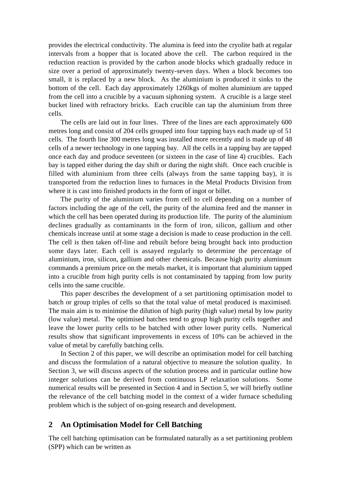provides the electrical conductivity. The alumina is feed into the cryolite bath at regular intervals from a hopper that is located above the cell. The carbon required in the reduction reaction is provided by the carbon anode blocks which gradually reduce in size over a period of approximately twenty-seven days. When a block becomes too small, it is replaced by a new block. As the aluminium is produced it sinks to the bottom of the cell. Each day approximately 1260kgs of molten aluminium are tapped from the cell into a crucible by a vacuum siphoning system. A crucible is a large steel bucket lined with refractory bricks. Each crucible can tap the aluminium from three cells.

The cells are laid out in four lines. Three of the lines are each approximately 600 metres long and consist of 204 cells grouped into four tapping bays each made up of 51 cells. The fourth line 300 metres long was installed more recently and is made up of 48 cells of a newer technology in one tapping bay. All the cells in a tapping bay are tapped once each day and produce seventeen (or sixteen in the case of line 4) crucibles. Each bay is tapped either during the day shift or during the night shift. Once each crucible is filled with aluminium from three cells (always from the same tapping bay), it is transported from the reduction lines to furnaces in the Metal Products Division from where it is cast into finished products in the form of ingot or billet.

The purity of the aluminium varies from cell to cell depending on a number of factors including the age of the cell, the purity of the alumina feed and the manner in which the cell has been operated during its production life. The purity of the aluminium declines gradually as contaminants in the form of iron, silicon, gallium and other chemicals increase until at some stage a decision is made to cease production in the cell. The cell is then taken off-line and rebuilt before being brought back into production some days later. Each cell is assayed regularly to determine the percentage of aluminium, iron, silicon, gallium and other chemicals. Because high purity aluminum commands a premium price on the metals market, it is important that aluminium tapped into a crucible from high purity cells is not contaminated by tapping from low purity cells into the same crucible.

This paper describes the development of a set partitioning optimisation model to batch or group triples of cells so that the total value of metal produced is maximised. The main aim is to minimise the dilution of high purity (high value) metal by low purity (low value) metal. The optimised batches tend to group high purity cells together and leave the lower purity cells to be batched with other lower purity cells. Numerical results show that significant improvements in excess of 10% can be achieved in the value of metal by carefully batching cells.

In Section 2 of this paper, we will describe an optimisation model for cell batching and discuss the formulation of a natural objective to measure the solution quality. In Section 3, we will discuss aspects of the solution process and in particular outline how integer solutions can be derived from continuous LP relaxation solutions. Some numerical results will be presented in Section 4 and in Section 5, we will briefly outline the relevance of the cell batching model in the context of a wider furnace scheduling problem which is the subject of on-going research and development.

# **2 An Optimisation Model for Cell Batching**

The cell batching optimisation can be formulated naturally as a set partitioning problem (SPP) which can be written as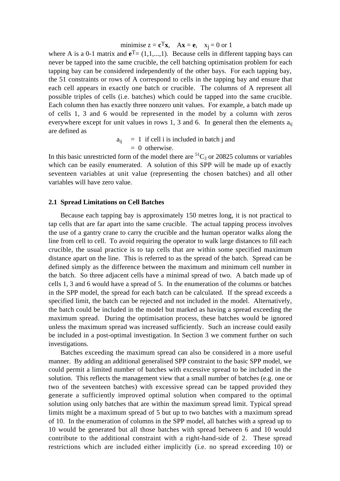minimise  $z = \mathbf{c}^T \mathbf{x}$ ,  $A\mathbf{x} = \mathbf{e}$ ,  $x_i = 0$  or 1

where A is a 0-1 matrix and  $e^T = (1,1,...,1)$ . Because cells in different tapping bays can never be tapped into the same crucible, the cell batching optimisation problem for each tapping bay can be considered independently of the other bays. For each tapping bay, the 51 constraints or rows of A correspond to cells in the tapping bay and ensure that each cell appears in exactly one batch or crucible. The columns of A represent all possible triples of cells (i.e. batches) which could be tapped into the same crucible. Each column then has exactly three nonzero unit values. For example, a batch made up of cells 1, 3 and 6 would be represented in the model by a column with zeros everywhere except for unit values in rows 1, 3 and 6. In general then the elements  $a_{ii}$ are defined as

> $a_{ij}$  = 1 if cell i is included in batch j and  $= 0$  otherwise.

In this basic unrestricted form of the model there are  ${}^{51}C_3$  or 20825 columns or variables which can be easily enumerated. A solution of this SPP will be made up of exactly seventeen variables at unit value (representing the chosen batches) and all other variables will have zero value.

#### **2.1 Spread Limitations on Cell Batches**

Because each tapping bay is approximately 150 metres long, it is not practical to tap cells that are far apart into the same crucible. The actual tapping process involves the use of a gantry crane to carry the crucible and the human operator walks along the line from cell to cell. To avoid requiring the operator to walk large distances to fill each crucible, the usual practice is to tap cells that are within some specified maximum distance apart on the line. This is referred to as the spread of the batch. Spread can be defined simply as the difference between the maximum and minimum cell number in the batch. So three adjacent cells have a minimal spread of two. A batch made up of cells 1, 3 and 6 would have a spread of 5. In the enumeration of the columns or batches in the SPP model, the spread for each batch can be calculated. If the spread exceeds a specified limit, the batch can be rejected and not included in the model. Alternatively, the batch could be included in the model but marked as having a spread exceeding the maximum spread. During the optimisation process, these batches would be ignored unless the maximum spread was increased sufficiently. Such an increase could easily be included in a post-optimal investigation. In Section 3 we comment further on such investigations.

Batches exceeding the maximum spread can also be considered in a more useful manner. By adding an additional generalised SPP constraint to the basic SPP model, we could permit a limited number of batches with excessive spread to be included in the solution. This reflects the management view that a small number of batches (e.g. one or two of the seventeen batches) with excessive spread can be tapped provided they generate a sufficiently improved optimal solution when compared to the optimal solution using only batches that are within the maximum spread limit. Typical spread limits might be a maximum spread of 5 but up to two batches with a maximum spread of 10. In the enumeration of columns in the SPP model, all batches with a spread up to 10 would be generated but all those batches with spread between 6 and 10 would contribute to the additional constraint with a right-hand-side of 2. These spread restrictions which are included either implicitly (i.e. no spread exceeding 10) or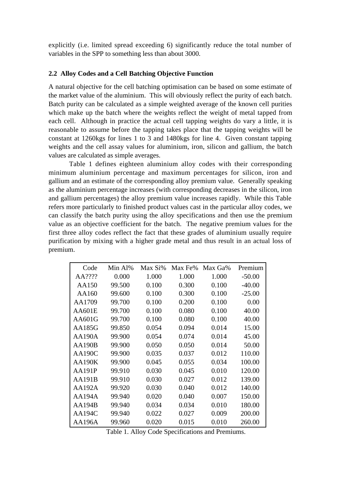explicitly (i.e. limited spread exceeding 6) significantly reduce the total number of variables in the SPP to something less than about 3000.

#### **2.2 Alloy Codes and a Cell Batching Objective Function**

A natural objective for the cell batching optimisation can be based on some estimate of the market value of the aluminium. This will obviously reflect the purity of each batch. Batch purity can be calculated as a simple weighted average of the known cell purities which make up the batch where the weights reflect the weight of metal tapped from each cell. Although in practice the actual cell tapping weights do vary a little, it is reasonable to assume before the tapping takes place that the tapping weights will be constant at 1260kgs for lines 1 to 3 and 1480kgs for line 4. Given constant tapping weights and the cell assay values for aluminium, iron, silicon and gallium, the batch values are calculated as simple averages.

Table 1 defines eighteen aluminium alloy codes with their corresponding minimum aluminium percentage and maximum percentages for silicon, iron and gallium and an estimate of the corresponding alloy premium value. Generally speaking as the aluminium percentage increases (with corresponding decreases in the silicon, iron and gallium percentages) the alloy premium value increases rapidly. While this Table refers more particularly to finished product values cast in the particular alloy codes, we can classify the batch purity using the alloy specifications and then use the premium value as an objective coefficient for the batch. The negative premium values for the first three alloy codes reflect the fact that these grades of aluminium usually require purification by mixing with a higher grade metal and thus result in an actual loss of premium.

| Code          | Min Al% | Max Si% | Max Fe% | Max Ga% | Premium  |
|---------------|---------|---------|---------|---------|----------|
| AA????        | 0.000   | 1.000   | 1.000   | 1.000   | $-50.00$ |
| AA150         | 99.500  | 0.100   | 0.300   | 0.100   | $-40.00$ |
| AA160         | 99.600  | 0.100   | 0.300   | 0.100   | $-25.00$ |
| AA1709        | 99.700  | 0.100   | 0.200   | 0.100   | 0.00     |
| <b>AA601E</b> | 99.700  | 0.100   | 0.080   | 0.100   | 40.00    |
| AA601G        | 99.700  | 0.100   | 0.080   | 0.100   | 40.00    |
| AA185G        | 99.850  | 0.054   | 0.094   | 0.014   | 15.00    |
| <b>AA190A</b> | 99.900  | 0.054   | 0.074   | 0.014   | 45.00    |
| AA190B        | 99.900  | 0.050   | 0.050   | 0.014   | 50.00    |
| AA190C        | 99.900  | 0.035   | 0.037   | 0.012   | 110.00   |
| <b>AA190K</b> | 99.900  | 0.045   | 0.055   | 0.034   | 100.00   |
| <b>AA191P</b> | 99.910  | 0.030   | 0.045   | 0.010   | 120.00   |
| AA191B        | 99.910  | 0.030   | 0.027   | 0.012   | 139.00   |
| AA192A        | 99.920  | 0.030   | 0.040   | 0.012   | 140.00   |
| AA194A        | 99.940  | 0.020   | 0.040   | 0.007   | 150.00   |
| AA194B        | 99.940  | 0.034   | 0.034   | 0.010   | 180.00   |
| AA194C        | 99.940  | 0.022   | 0.027   | 0.009   | 200.00   |
| AA196A        | 99.960  | 0.020   | 0.015   | 0.010   | 260.00   |

Table 1. Alloy Code Specifications and Premiums.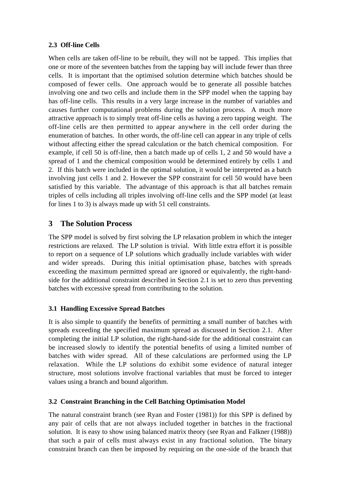## **2.3 Off-line Cells**

When cells are taken off-line to be rebuilt, they will not be tapped. This implies that one or more of the seventeen batches from the tapping bay will include fewer than three cells. It is important that the optimised solution determine which batches should be composed of fewer cells. One approach would be to generate all possible batches involving one and two cells and include them in the SPP model when the tapping bay has off-line cells. This results in a very large increase in the number of variables and causes further computational problems during the solution process. A much more attractive approach is to simply treat off-line cells as having a zero tapping weight. The off-line cells are then permitted to appear anywhere in the cell order during the enumeration of batches. In other words, the off-line cell can appear in any triple of cells without affecting either the spread calculation or the batch chemical composition. For example, if cell 50 is off-line, then a batch made up of cells 1, 2 and 50 would have a spread of 1 and the chemical composition would be determined entirely by cells 1 and 2. If this batch were included in the optimal solution, it would be interpreted as a batch involving just cells 1 and 2. However the SPP constraint for cell 50 would have been satisfied by this variable. The advantage of this approach is that all batches remain triples of cells including all triples involving off-line cells and the SPP model (at least for lines 1 to 3) is always made up with 51 cell constraints.

# **3 The Solution Process**

The SPP model is solved by first solving the LP relaxation problem in which the integer restrictions are relaxed. The LP solution is trivial. With little extra effort it is possible to report on a sequence of LP solutions which gradually include variables with wider and wider spreads. During this initial optimisation phase, batches with spreads exceeding the maximum permitted spread are ignored or equivalently, the right-handside for the additional constraint described in Section 2.1 is set to zero thus preventing batches with excessive spread from contributing to the solution.

## **3.1 Handling Excessive Spread Batches**

It is also simple to quantify the benefits of permitting a small number of batches with spreads exceeding the specified maximum spread as discussed in Section 2.1. After completing the initial LP solution, the right-hand-side for the additional constraint can be increased slowly to identify the potential benefits of using a limited number of batches with wider spread. All of these calculations are performed using the LP relaxation. While the LP solutions do exhibit some evidence of natural integer structure, most solutions involve fractional variables that must be forced to integer values using a branch and bound algorithm.

# **3.2 Constraint Branching in the Cell Batching Optimisation Model**

The natural constraint branch (see Ryan and Foster (1981)) for this SPP is defined by any pair of cells that are not always included together in batches in the fractional solution. It is easy to show using balanced matrix theory (see Ryan and Falkner (1988)) that such a pair of cells must always exist in any fractional solution. The binary constraint branch can then be imposed by requiring on the one-side of the branch that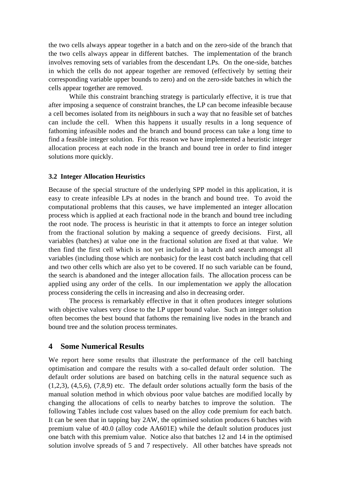the two cells always appear together in a batch and on the zero-side of the branch that the two cells always appear in different batches. The implementation of the branch involves removing sets of variables from the descendant LPs. On the one-side, batches in which the cells do not appear together are removed (effectively by setting their corresponding variable upper bounds to zero) and on the zero-side batches in which the cells appear together are removed.

While this constraint branching strategy is particularly effective, it is true that after imposing a sequence of constraint branches, the LP can become infeasible because a cell becomes isolated from its neighbours in such a way that no feasible set of batches can include the cell. When this happens it usually results in a long sequence of fathoming infeasible nodes and the branch and bound process can take a long time to find a feasible integer solution. For this reason we have implemented a heuristic integer allocation process at each node in the branch and bound tree in order to find integer solutions more quickly.

#### **3.2 Integer Allocation Heuristics**

Because of the special structure of the underlying SPP model in this application, it is easy to create infeasible LPs at nodes in the branch and bound tree. To avoid the computational problems that this causes, we have implemented an integer allocation process which is applied at each fractional node in the branch and bound tree including the root node. The process is heuristic in that it attempts to force an integer solution from the fractional solution by making a sequence of greedy decisions. First, all variables (batches) at value one in the fractional solution are fixed at that value. We then find the first cell which is not yet included in a batch and search amongst all variables (including those which are nonbasic) for the least cost batch including that cell and two other cells which are also yet to be covered. If no such variable can be found, the search is abandoned and the integer allocation fails. The allocation process can be applied using any order of the cells. In our implementation we apply the allocation process considering the cells in increasing and also in decreasing order.

The process is remarkably effective in that it often produces integer solutions with objective values very close to the LP upper bound value. Such an integer solution often becomes the best bound that fathoms the remaining live nodes in the branch and bound tree and the solution process terminates.

## **4 Some Numerical Results**

We report here some results that illustrate the performance of the cell batching optimisation and compare the results with a so-called default order solution. The default order solutions are based on batching cells in the natural sequence such as  $(1,2,3)$ ,  $(4,5,6)$ ,  $(7,8,9)$  etc. The default order solutions actually form the basis of the manual solution method in which obvious poor value batches are modified locally by changing the allocations of cells to nearby batches to improve the solution. The following Tables include cost values based on the alloy code premium for each batch. It can be seen that in tapping bay 2AW, the optimised solution produces 6 batches with premium value of 40.0 (alloy code AA601E) while the default solution produces just one batch with this premium value. Notice also that batches 12 and 14 in the optimised solution involve spreads of 5 and 7 respectively. All other batches have spreads not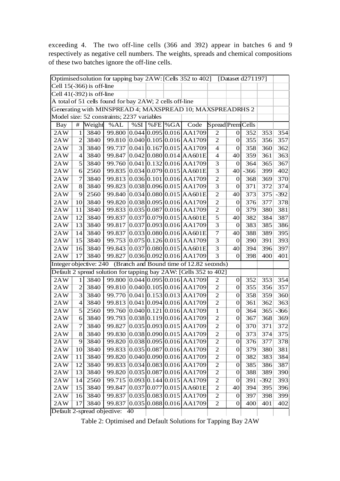exceeding 4. The two off-line cells (366 and 392) appear in batches 6 and 9 respectively as negative cell numbers. The weights, spreads and chemical compositions of these two batches ignore the off-line cells.

| Optimised solution for tapping bay 2AW: [Cells 352 to 402]<br>[Dataset d271197] |                |        |        |     |  |            |                                                                   |                   |                  |        |        |        |
|---------------------------------------------------------------------------------|----------------|--------|--------|-----|--|------------|-------------------------------------------------------------------|-------------------|------------------|--------|--------|--------|
| Cell $15(-366)$ is off-line                                                     |                |        |        |     |  |            |                                                                   |                   |                  |        |        |        |
| Cell $41(-392)$ is off-line                                                     |                |        |        |     |  |            |                                                                   |                   |                  |        |        |        |
| A total of 51 cells found for bay 2AW; 2 cells off-line                         |                |        |        |     |  |            |                                                                   |                   |                  |        |        |        |
| Generating with MINSPREAD 4; MAXSPREAD 10; MAXSPREADRHS 2                       |                |        |        |     |  |            |                                                                   |                   |                  |        |        |        |
| Model size: 52 constraints; 2237 variables                                      |                |        |        |     |  |            |                                                                   |                   |                  |        |        |        |
| Bay                                                                             | $\#$           | Weight | %AL    | %SI |  | $%FE$ % GA | Code                                                              | Spread Prem Cells |                  |        |        |        |
| 2AW                                                                             | 1              | 3840   |        |     |  |            | 99.800 0.044 0.095 0.016 AA1709                                   | 2                 | $\overline{0}$   | 352    | 353    | 354    |
| 2AW                                                                             | $\overline{2}$ | 3840   |        |     |  |            | 99.810 0.040 0.105 0.016 AA1709                                   | $\mathbf{2}$      | $\theta$         | 355    | 356    | 357    |
| 2AW                                                                             | 3              | 3840   | 99.737 |     |  |            | $0.041$ 0.167 0.015 AA1709                                        | $\overline{4}$    | $\mathbf{0}$     | 358    | 360    | 362    |
| 2AW                                                                             | $\overline{4}$ | 3840   | 99.847 |     |  |            | $0.042 \, 0.080 \, 0.014 \, A4601E$                               | $\overline{4}$    | 40               | 359    | 361    | 363    |
| 2AW                                                                             | 5              | 3840   |        |     |  |            | 99.760 0.041 0.132 0.016 AA1709                                   | 3                 | $\mathbf{0}$     | 364    | 365    | 367    |
| 2AW                                                                             | 6              | 2560   | 99.835 |     |  |            | $0.034 \, 0.079 \, 0.015 \, A4601E$                               | $\overline{3}$    | 40               | $-366$ | 399    | 402    |
| 2AW                                                                             | 7              | 3840   | 99.813 |     |  |            | $0.036 \,   0.101 \,   0.016 \,   0.01709$                        | $\overline{2}$    | $\boldsymbol{0}$ | 368    | 369    | 370    |
| 2AW                                                                             | 8              | 3840   | 99.823 |     |  |            | $0.038 0.096 0.015 $ AA1709                                       | $\overline{3}$    | $\mathbf{0}$     | 371    | 372    | 374    |
| 2AW                                                                             | 9              | 2560   | 99.840 |     |  |            | $0.034 \, 0.080 \, 0.015$ AA601E                                  | $\overline{2}$    | 40               | 373    | 375    | $-392$ |
| 2AW                                                                             | 10             | 3840   | 99.820 |     |  |            | $0.038 \, 0.095 \, 0.016$ AA1709                                  | $\mathbf{2}$      | $\boldsymbol{0}$ | 376    | 377    | 378    |
| 2AW                                                                             | 11             | 3840   | 99.833 |     |  |            | $0.035 \, 0.087 \, 0.016$ AA1709                                  | $\overline{2}$    | $\theta$         | 379    | 380    | 381    |
| 2AW                                                                             | 12             | 3840   |        |     |  |            | 99.837 0.037 0.079 0.015 AA601E                                   | 5                 | 40               | 382    | 384    | 387    |
| 2AW                                                                             | 13             | 3840   | 99.817 |     |  |            | $0.037$ 0.093 0.016 AA1709                                        | 3                 | $\mathbf{0}$     | 383    | 385    | 386    |
| 2AW                                                                             | 14             | 3840   | 99.837 |     |  |            | $0.033 \,   0.080 \,   0.016 \,  $ AA601E                         | $\tau$            | 40               | 388    | 389    | 395    |
| 2AW                                                                             | 15             | 3840   | 99.753 |     |  |            | $0.075$ 0.126 0.015 AA1709                                        | $\overline{3}$    | $\mathbf{0}$     | 390    | 391    | 393    |
| 2AW                                                                             | 16             | 3840   |        |     |  |            | 99.843 0.037 0.080 0.015 AA601E                                   | $\overline{3}$    | 40               | 394    | 396    | 397    |
| 2AW                                                                             | 17             | 3840   | 99.827 |     |  |            | $0.036 \, 0.092 \, 0.016$ AA1709                                  | $\overline{3}$    | $\mathbf{0}$     | 398    | 400    | 401    |
| Integer objective: 240                                                          |                |        |        |     |  |            | (Branch and Bound time of 12.82 seconds)                          |                   |                  |        |        |        |
|                                                                                 |                |        |        |     |  |            | Default 2 spread solution for tapping bay 2AW: [Cells 352 to 402] |                   |                  |        |        |        |
| 2AW                                                                             | 1              | 3840   |        |     |  |            | 99.800 0.044 0.095 0.016 AA1709                                   | 2                 | $\vert 0 \vert$  | 352    | 353    | 354    |
| 2AW                                                                             | $\overline{2}$ | 3840   |        |     |  |            | 99.810 0.040 0.105 0.016 AA1709                                   | $\overline{c}$    | $\boldsymbol{0}$ | 355    | 356    | 357    |
| 2AW                                                                             | 3              | 3840   | 99.770 |     |  |            | $0.041$ 0.153 0.013 AA1709                                        | $\overline{c}$    | $\mathbf{0}$     | 358    | 359    | 360    |
| 2AW                                                                             | $\overline{4}$ | 3840   |        |     |  |            | 99.813 0.041 0.094 0.016 AA1709                                   | $\overline{2}$    | $\overline{0}$   | 361    | 362    | 363    |
| 2AW                                                                             | 5              | 2560   |        |     |  |            | 99.760 0.040 0.121 0.016 AA1709                                   | $\mathbf{1}$      | $\mathbf{0}$     | 364    | 365    | $-366$ |
| 2AW                                                                             | 6              | 3840   | 99.793 |     |  |            | $0.038 \, 0.119 \, 0.016$ AA1709                                  | $\overline{2}$    | $\boldsymbol{0}$ | 367    | 368    | 369    |
| 2AW                                                                             | $\overline{7}$ | 3840   | 99.827 |     |  |            | $0.035 \, 0.093 \, 0.015 \, A A1709$                              | $\overline{2}$    | $\boldsymbol{0}$ | 370    | 371    | 372    |
| 2AW                                                                             | 8              | 3840   |        |     |  |            | 99.830 0.038 0.090 0.015 AA1709                                   | $\mathbf{2}$      | $\vert 0 \vert$  | 373    | 374    | 375    |
| 2AW                                                                             | 9              | 3840   |        |     |  |            | 99.820 0.038 0.095 0.016 AA1709                                   | $\overline{2}$    | $\overline{0}$   | 376    | 377    | 378    |
| 2AW                                                                             | 10             | 3840   |        |     |  |            | 99.833 0.035 0.087 0.016 AA1709                                   | $\sqrt{2}$        | $\boldsymbol{0}$ | 379    | 380    | 381    |
| 2AW                                                                             | 11             | 3840   |        |     |  |            | 99.820 0.040 0.090 0.016 AA1709                                   | $\overline{2}$    | $\theta$         | 382    | 383    | 384    |
| 2AW                                                                             | 12             | 3840   |        |     |  |            | 99.833 0.034 0.083 0.016 AA1709                                   | $\overline{2}$    | 0                | 385    | 386    | 387    |
| 2AW                                                                             | 13             | 3840   |        |     |  |            | 99.820 0.035 0.087 0.016 AA1709                                   | $\overline{2}$    | $\vert 0 \vert$  | 388    | 389    | 390    |
| 2AW                                                                             | 14             | 2560   |        |     |  |            | 99.715 0.093 0.144 0.015 AA1709                                   | $\mathbf{2}$      | $\boldsymbol{0}$ | 391    | $-392$ | 393    |
| 2AW                                                                             | 15             | 3840   | 99.847 |     |  |            | $0.037$ 0.077 0.015 AA601E                                        | $\overline{2}$    | 40               | 394    | 395    | 396    |
| $2\overline{AW}$                                                                | 16             | 3840   |        |     |  |            | 99.837 0.035 0.083 0.015 AA1709                                   | $\overline{2}$    | $\boldsymbol{0}$ | 397    | 398    | 399    |
| 2AW                                                                             | 17             | 3840   |        |     |  |            | 99.837 0.035 0.088 0.016 AA1709                                   | $\overline{2}$    | $\theta$         | 400    | 401    | 402    |
| Default 2-spread objective:<br>40                                               |                |        |        |     |  |            |                                                                   |                   |                  |        |        |        |

Table 2: Optimised and Default Solutions for Tapping Bay 2AW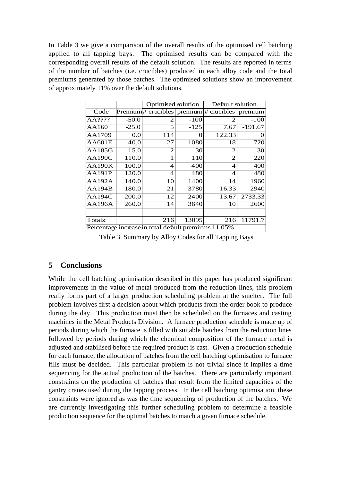In Table 3 we give a comparison of the overall results of the optimised cell batching applied to all tapping bays. The optimised results can be compared with the corresponding overall results of the default solution. The results are reported in terms of the number of batches (i.e. crucibles) produced in each alloy code and the total premiums generated by those batches. The optimised solutions show an improvement of approximately 11% over the default solutions.

|                                                      |         | Optimised solution       |        | Default solution                                                |           |  |  |
|------------------------------------------------------|---------|--------------------------|--------|-----------------------------------------------------------------|-----------|--|--|
| Code                                                 |         |                          |        | $\text{Premium}\#$ crucibles premium $\#$ crucibles $\parallel$ | premium   |  |  |
| AA????                                               | $-50.0$ | 2                        | $-100$ | $\mathfrak{D}$                                                  | $-100$    |  |  |
| AA160                                                | $-25.0$ | 5                        | $-125$ | 7.67                                                            | $-191.67$ |  |  |
| AA1709                                               | 0.0     | 114                      | 0      | 122.33                                                          | $\Omega$  |  |  |
| <b>AA601E</b>                                        | 40.0    | 27                       | 1080   | 18                                                              | 720       |  |  |
| AA185G                                               | 15.0    | $\mathfrak{D}$           | 30     | $\mathfrak{D}$                                                  | 30        |  |  |
| AA190C                                               | 110.0   |                          | 110    | $\mathfrak{D}$                                                  | 220       |  |  |
| <b>AA190K</b>                                        | 100.0   | $\overline{\mathcal{A}}$ | 400    | 4                                                               | 400       |  |  |
| <b>AA191P</b>                                        | 120.0   | 4                        | 480    | $\overline{\mathcal{A}}$                                        | 480       |  |  |
| <b>AA192A</b>                                        | 140.0   | 10                       | 1400   | 14                                                              | 1960      |  |  |
| <b>AA194B</b>                                        | 180.0   | 21                       | 3780   | 16.33                                                           | 2940      |  |  |
| <b>AA194C</b>                                        | 200.0   | 12                       | 2400   | 13.67                                                           | 2733.33   |  |  |
| <b>AA196A</b>                                        | 260.0   | 14                       | 3640   | 10                                                              | 2600      |  |  |
|                                                      |         |                          |        |                                                                 |           |  |  |
| <b>Totals:</b>                                       |         | 216                      | 13095  | 216                                                             | 11791.7   |  |  |
| Percentage increase in total default premiums 11.05% |         |                          |        |                                                                 |           |  |  |

Table 3. Summary by Alloy Codes for all Tapping Bays

# **5 Conclusions**

While the cell batching optimisation described in this paper has produced significant improvements in the value of metal produced from the reduction lines, this problem really forms part of a larger production scheduling problem at the smelter. The full problem involves first a decision about which products from the order book to produce during the day. This production must then be scheduled on the furnaces and casting machines in the Metal Products Division. A furnace production schedule is made up of periods during which the furnace is filled with suitable batches from the reduction lines followed by periods during which the chemical composition of the furnace metal is adjusted and stabilised before the required product is cast. Given a production schedule for each furnace, the allocation of batches from the cell batching optimisation to furnace fills must be decided. This particular problem is not trivial since it implies a time sequencing for the actual production of the batches. There are particularly important constraints on the production of batches that result from the limited capacities of the gantry cranes used during the tapping process. In the cell batching optimisation, these constraints were ignored as was the time sequencing of production of the batches. We are currently investigating this further scheduling problem to determine a feasible production sequence for the optimal batches to match a given furnace schedule.